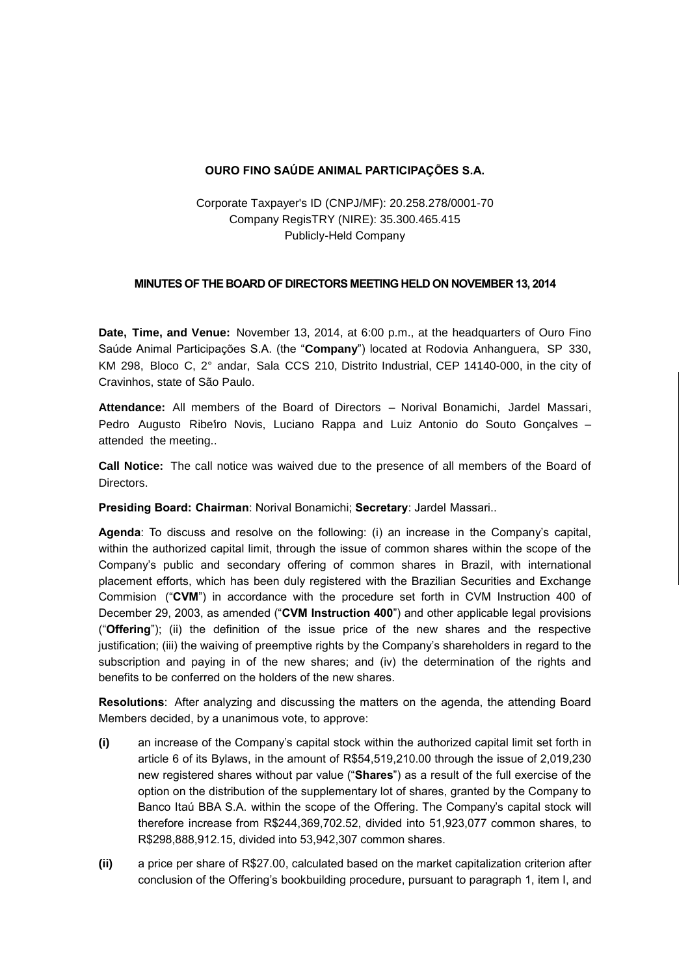## **OURO FINO SAÚDE ANIMAL PARTICIPAÇÕES S.A.**

Corporate Taxpayer's ID (CNPJ/MF): 20.258.278/0001-70 Company RegisTRY (NIRE): 35.300.465.415 Publicly-Held Company

## **MINUTES OF THE BOARD OF DIRECTORS MEETING HELD ON NOVEMBER 13, 2014**

**Date, Time, and Venue:** November 13, 2014, at 6:00 p.m., at the headquarters of Ouro Fino Saúde Animal Participações S.A. (the "**Company**") located at Rodovia Anhanguera, SP 330, KM 298, Bloco C, 2° andar, Sala CCS 210, Distrito Industrial, CEP 14140-000, in the city of Cravinhos, state of São Paulo.

**Attendance:** All members of the Board of Directors – Norival Bonamichi, Jardel Massari, Pedro Augusto Ribe'iro Novis, Luciano Rappa and Luiz Antonio do Souto Gonçalves attended the meeting..

**Call Notice:** The call notice was waived due to the presence of all members of the Board of Directors.

**Presiding Board: Chairman**: Norival Bonamichi; **Secretary**: Jardel Massari..

**Agenda**: To discuss and resolve on the following: (i) an increase in the Company's capital, within the authorized capital limit, through the issue of common shares within the scope of the Company's public and secondary offering of common shares in Brazil, with international placement efforts, which has been duly registered with the Brazilian Securities and Exchange Commision ("**CVM**") in accordance with the procedure set forth in CVM Instruction 400 of December 29, 2003, as amended ("**CVM Instruction 400**") and other applicable legal provisions ("**Offering**"); (ii) the definition of the issue price of the new shares and the respective justification; (iii) the waiving of preemptive rights by the Company's shareholders in regard to the subscription and paying in of the new shares; and (iv) the determination of the rights and benefits to be conferred on the holders of the new shares.

**Resolutions**: After analyzing and discussing the matters on the agenda, the attending Board Members decided, by a unanimous vote, to approve:

- **(i)** an increase of the Company's capital stock within the authorized capital limit set forth in article 6 of its Bylaws, in the amount of R\$54,519,210.00 through the issue of 2,019,230 new registered shares without par value ("**Shares**") as a result of the full exercise of the option on the distribution of the supplementary lot of shares, granted by the Company to Banco Itaú BBA S.A. within the scope of the Offering. The Company's capital stock will therefore increase from R\$244,369,702.52, divided into 51,923,077 common shares, to R\$298,888,912.15, divided into 53,942,307 common shares.
- **(ii)** a price per share of R\$27.00, calculated based on the market capitalization criterion after conclusion of the Offering's bookbuilding procedure, pursuant to paragraph 1, item I, and